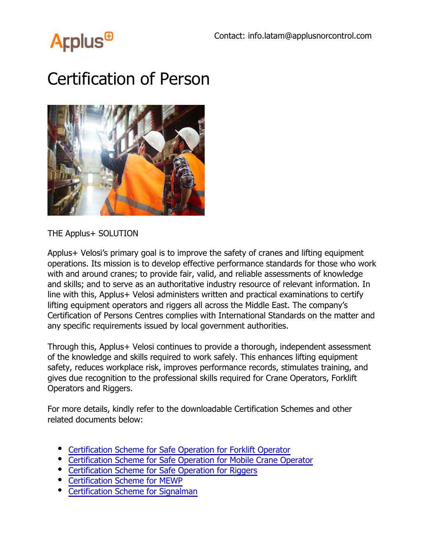

## Certification of Person



THE Applus+ SOLUTION

Applus+ Velosi's primary goal is to improve the safety of cranes and lifting equipment operations. Its mission is to develop effective performance standards for those who work with and around cranes; to provide fair, valid, and reliable assessments of knowledge and skills; and to serve as an authoritative industry resource of relevant information. In line with this, Applus+ Velosi administers written and practical examinations to certify lifting equipment operators and riggers all across the Middle East. The company's Certification of Persons Centres complies with International Standards on the matter and any specific requirements issued by local government authorities.

Through this, Applus+ Velosi continues to provide a thorough, independent assessment of the knowledge and skills required to work safely. This enhances lifting equipment safety, reduces workplace risk, improves performance records, stimulates training, and gives due recognition to the professional skills required for Crane Operators, Forklift Operators and Riggers.

For more details, kindly refer to the downloadable Certification Schemes and other related documents below:

- Certification Scheme for Safe Operation for Forklift Operator
- Certification Scheme for Safe Operation for Mobile Crane Operator
- Certification Scheme for Safe Operation for Riggers
- Certification Scheme for MEWP
- Certification Scheme for Signalman